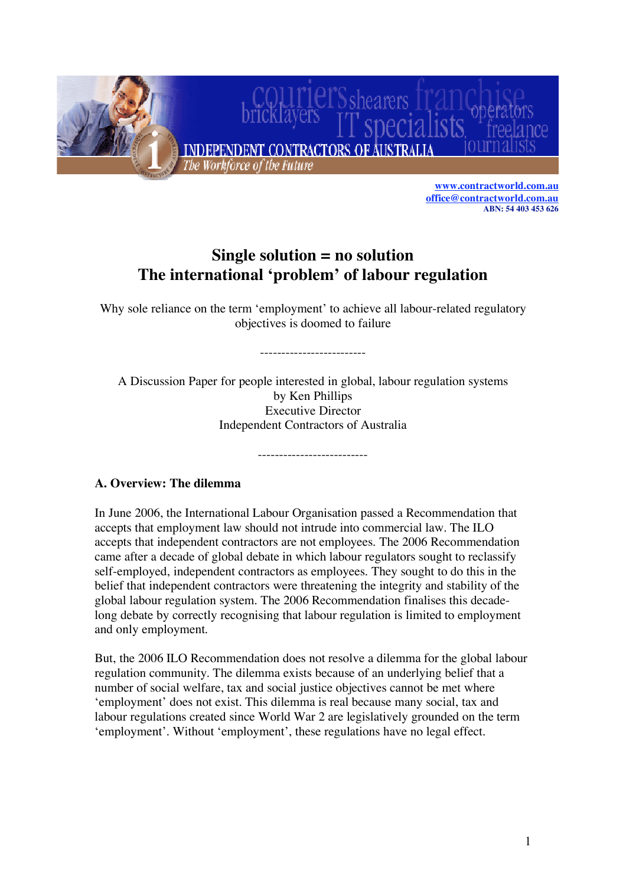

**[www.contractworld.com.au](http://www.contractworld.com.au/home/ICA_welcome.html) [office@contractworld.com.au](mailto:office@contractworld.com.au) ABN: 54 403 453 626**

# **Single solution = no solution The international 'problem' of labour regulation**

Why sole reliance on the term 'employment' to achieve all labour-related regulatory objectives is doomed to failure

-------------------------

A Discussion Paper for people interested in global, labour regulation systems by Ken Phillips Executive Director Independent Contractors of Australia

--------------------------

**A. Overview: The dilemma**

In June 2006, the International Labour Organisation passed a Recommendation that accepts that employment law should not intrude into commercial law. The ILO accepts that independent contractors are not employees. The 2006 Recommendation came after a decade of global debate in which labour regulators sought to reclassify self-employed, independent contractors as employees. They sought to do this in the belief that independent contractors were threatening the integrity and stability of the global labour regulation system. The 2006 Recommendation finalises this decadelong debate by correctly recognising that labour regulation is limited to employment and only employment.

But, the 2006 ILO Recommendation does not resolve a dilemma for the global labour regulation community. The dilemma exists because of an underlying belief that a number of social welfare, tax and social justice objectives cannot be met where 'employment' does not exist. This dilemma is real because many social, tax and labour regulations created since World War 2 are legislatively grounded on the term 'employment'. Without 'employment', these regulations have no legal effect.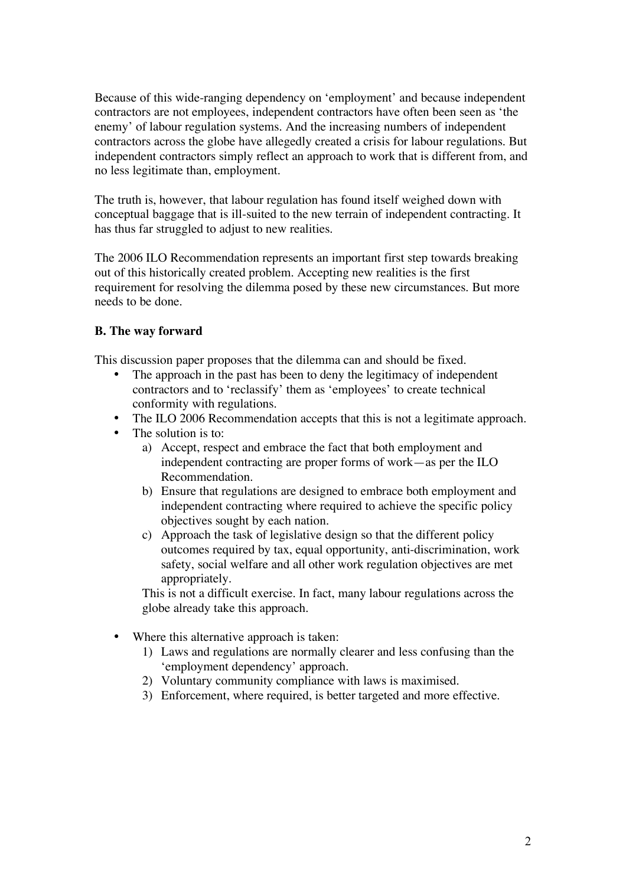Because of this wide-ranging dependency on 'employment' and because independent contractors are not employees, independent contractors have often been seen as 'the enemy' of labour regulation systems. And the increasing numbers of independent contractors across the globe have allegedly created a crisis for labour regulations. But independent contractors simply reflect an approach to work that is different from, and no less legitimate than, employment.

The truth is, however, that labour regulation has found itself weighed down with conceptual baggage that is ill-suited to the new terrain of independent contracting. It has thus far struggled to adjust to new realities.

The 2006 ILO Recommendation represents an important first step towards breaking out of this historically created problem. Accepting new realities is the first requirement for resolving the dilemma posed by these new circumstances. But more needs to be done.

# **B. The way forward**

This discussion paper proposes that the dilemma can and should be fixed.

- The approach in the past has been to deny the legitimacy of independent contractors and to 'reclassify' them as 'employees' to create technical conformity with regulations.
- The ILO 2006 Recommendation accepts that this is not a legitimate approach.
- The solution is to:
	- a) Accept, respect and embrace the fact that both employment and independent contracting are proper forms of work—as per the ILO Recommendation.
	- b) Ensure that regulations are designed to embrace both employment and independent contracting where required to achieve the specific policy objectives sought by each nation.
	- c) Approach the task of legislative design so that the different policy outcomes required by tax, equal opportunity, anti-discrimination, work safety, social welfare and all other work regulation objectives are met appropriately.

This is not a difficult exercise. In fact, many labour regulations across the globe already take this approach.

- Where this alternative approach is taken:
	- 1) Laws and regulations are normally clearer and less confusing than the 'employment dependency' approach.
	- 2) Voluntary community compliance with laws is maximised.
	- 3) Enforcement, where required, is better targeted and more effective.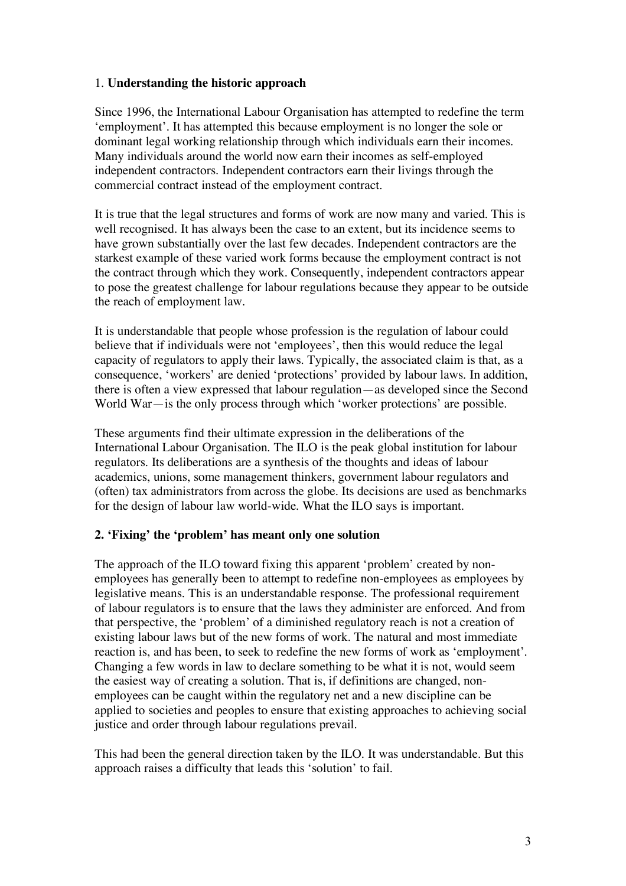#### 1. **Understanding the historic approach**

Since 1996, the International Labour Organisation has attempted to redefine the term 'employment'. It has attempted this because employment is no longer the sole or dominant legal working relationship through which individuals earn their incomes. Many individuals around the world now earn their incomes as self-employed independent contractors. Independent contractors earn their livings through the commercial contract instead of the employment contract.

It is true that the legal structures and forms of work are now many and varied. This is well recognised. It has always been the case to an extent, but its incidence seems to have grown substantially over the last few decades. Independent contractors are the starkest example of these varied work forms because the employment contract is not the contract through which they work. Consequently, independent contractors appear to pose the greatest challenge for labour regulations because they appear to be outside the reach of employment law.

It is understandable that people whose profession is the regulation of labour could believe that if individuals were not 'employees', then this would reduce the legal capacity of regulators to apply their laws. Typically, the associated claim is that, as a consequence, 'workers' are denied 'protections' provided by labour laws. In addition, there is often a view expressed that labour regulation—as developed since the Second World War—is the only process through which 'worker protections' are possible.

These arguments find their ultimate expression in the deliberations of the International Labour Organisation. The ILO is the peak global institution for labour regulators. Its deliberations are a synthesis of the thoughts and ideas of labour academics, unions, some management thinkers, government labour regulators and (often) tax administrators from across the globe. Its decisions are used as benchmarks for the design of labour law world-wide. What the ILO says is important.

# **2. 'Fixing' the 'problem' has meant only one solution**

The approach of the ILO toward fixing this apparent 'problem' created by nonemployees has generally been to attempt to redefine non-employees as employees by legislative means. This is an understandable response. The professional requirement of labour regulators is to ensure that the laws they administer are enforced. And from that perspective, the 'problem' of a diminished regulatory reach is not a creation of existing labour laws but of the new forms of work. The natural and most immediate reaction is, and has been, to seek to redefine the new forms of work as 'employment'. Changing a few words in law to declare something to be what it is not, would seem the easiest way of creating a solution. That is, if definitions are changed, nonemployees can be caught within the regulatory net and a new discipline can be applied to societies and peoples to ensure that existing approaches to achieving social justice and order through labour regulations prevail.

This had been the general direction taken by the ILO. It was understandable. But this approach raises a difficulty that leads this 'solution' to fail.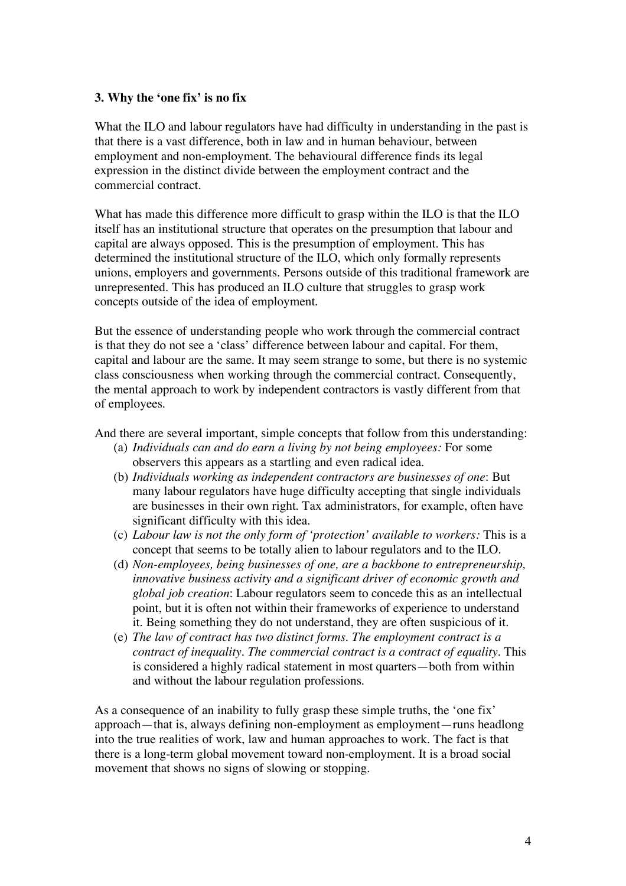#### **3. Why the 'one fix' is no fix**

What the ILO and labour regulators have had difficulty in understanding in the past is that there is a vast difference, both in law and in human behaviour, between employment and non-employment. The behavioural difference finds its legal expression in the distinct divide between the employment contract and the commercial contract.

What has made this difference more difficult to grasp within the ILO is that the ILO itself has an institutional structure that operates on the presumption that labour and capital are always opposed. This is the presumption of employment. This has determined the institutional structure of the ILO, which only formally represents unions, employers and governments. Persons outside of this traditional framework are unrepresented. This has produced an ILO culture that struggles to grasp work concepts outside of the idea of employment.

But the essence of understanding people who work through the commercial contract is that they do not see a 'class' difference between labour and capital. For them, capital and labour are the same. It may seem strange to some, but there is no systemic class consciousness when working through the commercial contract. Consequently, the mental approach to work by independent contractors is vastly different from that of employees.

And there are several important, simple concepts that follow from this understanding:

- (a) *Individuals can and do earn a living by not being employees:* For some observers this appears as a startling and even radical idea.
- (b) *Individuals working as independent contractors are businesses of one*: But many labour regulators have huge difficulty accepting that single individuals are businesses in their own right. Tax administrators, for example, often have significant difficulty with this idea.
- (c) *Labour law is not the only form of 'protection' available to workers:* This is a concept that seems to be totally alien to labour regulators and to the ILO.
- (d) *Non-employees, being businesses of one, are a backbone to entrepreneurship, innovative business activity and a significant driver of economic growth and global job creation*: Labour regulators seem to concede this as an intellectual point, but it is often not within their frameworks of experience to understand it. Being something they do not understand, they are often suspicious of it.
- (e) *The law of contract has two distinct forms. The employment contract is a contract of inequality. The commercial contract is a contract of equality.* This is considered a highly radical statement in most quarters—both from within and without the labour regulation professions.

As a consequence of an inability to fully grasp these simple truths, the 'one fix' approach—that is, always defining non-employment as employment—runs headlong into the true realities of work, law and human approaches to work. The fact is that there is a long-term global movement toward non-employment. It is a broad social movement that shows no signs of slowing or stopping.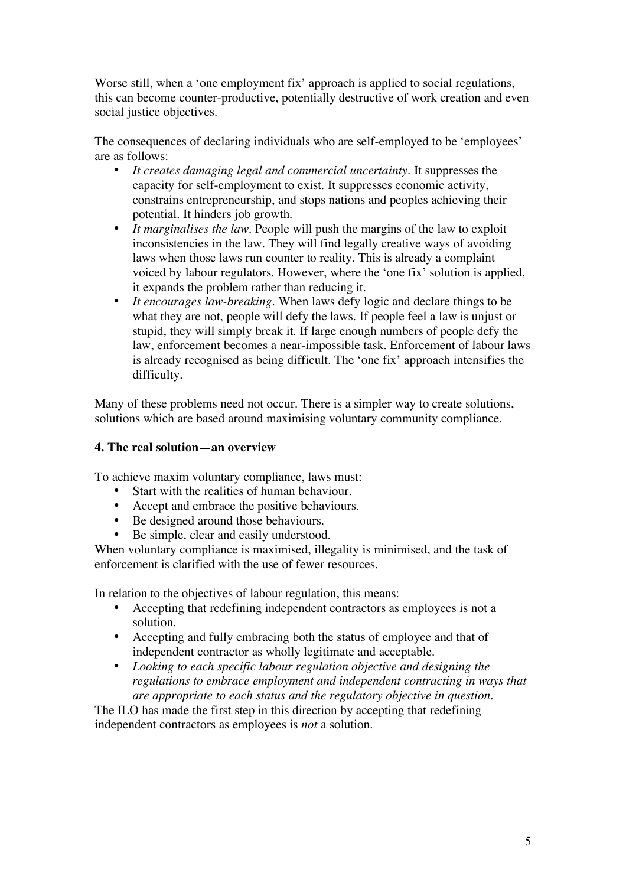Worse still, when a 'one employment fix' approach is applied to social regulations, this can become counter-productive, potentially destructive of work creation and even social justice objectives.

The consequences of declaring individuals who are self-employed to be 'employees' are as follows:

- *It creates damaging legal and commercial uncertainty.* It suppresses the capacity for self-employment to exist. It suppresses economic activity, constrains entrepreneurship, and stops nations and peoples achieving their potential. It hinders job growth.
- *It marginalises the law.* People will push the margins of the law to exploit inconsistencies in the law. They will find legally creative ways of avoiding laws when those laws run counter to reality. This is already a complaint voiced by labour regulators. However, where the 'one fix' solution is applied, it expands the problem rather than reducing it.
- *It encourages law-breaking.* When laws defy logic and declare things to be what they are not, people will defy the laws. If people feel a law is unjust or stupid, they will simply break it. If large enough numbers of people defy the law, enforcement becomes a near-impossible task. Enforcement of labour laws is already recognised as being difficult. The 'one fix' approach intensifies the difficulty.

Many of these problems need not occur. There is a simpler way to create solutions, solutions which are based around maximising voluntary community compliance.

# **4. The real solution—an overview**

To achieve maxim voluntary compliance, laws must:

- Start with the realities of human behaviour.
- Accept and embrace the positive behaviours.
- Be designed around those behaviours.
- Be simple, clear and easily understood.

When voluntary compliance is maximised, illegality is minimised, and the task of enforcement is clarified with the use of fewer resources.

In relation to the objectives of labour regulation, this means:

- Accepting that redefining independent contractors as employees is not a solution.
- Accepting and fully embracing both the status of employee and that of independent contractor as wholly legitimate and acceptable.
- *Looking to each specific labour regulation objective and designing the regulations to embrace employment and independent contracting in ways that are appropriate to each status and the regulatory objective in question.*

The ILO has made the first step in this direction by accepting that redefining independent contractors as employees is *not* a solution.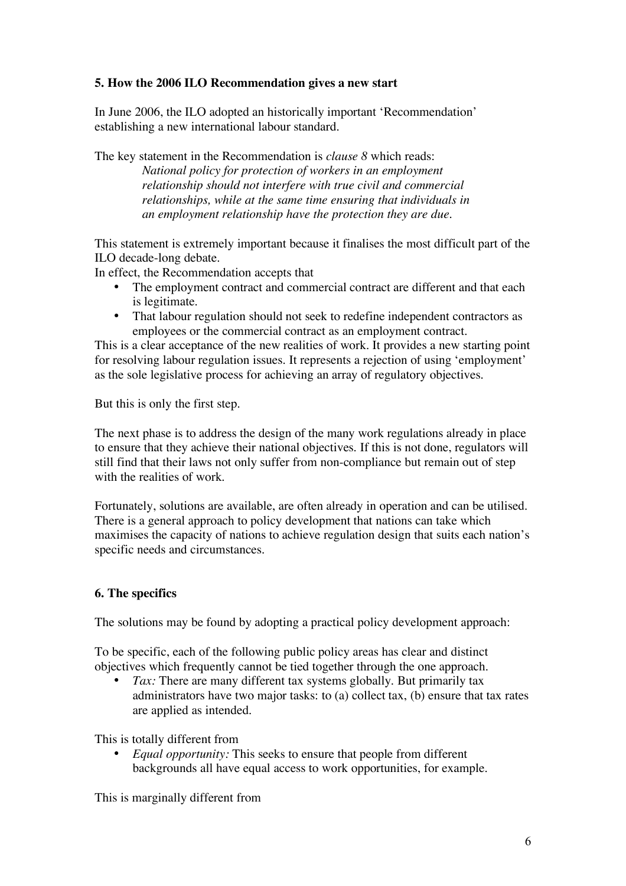# **5. How the 2006 ILO Recommendation gives a new start**

In June 2006, the ILO adopted an historically important 'Recommendation' establishing a new international labour standard.

The key statement in the Recommendation is *clause 8* which reads: *National policy for protection of workers in an employment relationship should not interfere with true civil and commercial relationships, while at the same time ensuring that individuals in an employment relationship have the protection they are due.*

This statement is extremely important because it finalises the most difficult part of the ILO decade-long debate.

In effect, the Recommendation accepts that

- The employment contract and commercial contract are different and that each is legitimate.
- That labour regulation should not seek to redefine independent contractors as employees or the commercial contract as an employment contract.

This is a clear acceptance of the new realities of work. It provides a new starting point for resolving labour regulation issues. It represents a rejection of using 'employment' as the sole legislative process for achieving an array of regulatory objectives.

But this is only the first step.

The next phase is to address the design of the many work regulations already in place to ensure that they achieve their national objectives. If this is not done, regulators will still find that their laws not only suffer from non-compliance but remain out of step with the realities of work.

Fortunately, solutions are available, are often already in operation and can be utilised. There is a general approach to policy development that nations can take which maximises the capacity of nations to achieve regulation design that suits each nation's specific needs and circumstances.

# **6. The specifics**

The solutions may be found by adopting a practical policy development approach:

To be specific, each of the following public policy areas has clear and distinct objectives which frequently cannot be tied together through the one approach.

*Tax*: There are many different tax systems globally. But primarily tax administrators have two major tasks: to (a) collect tax, (b) ensure that tax rates are applied as intended.

This is totally different from

• *Equal opportunity:* This seeks to ensure that people from different backgrounds all have equal access to work opportunities, for example.

This is marginally different from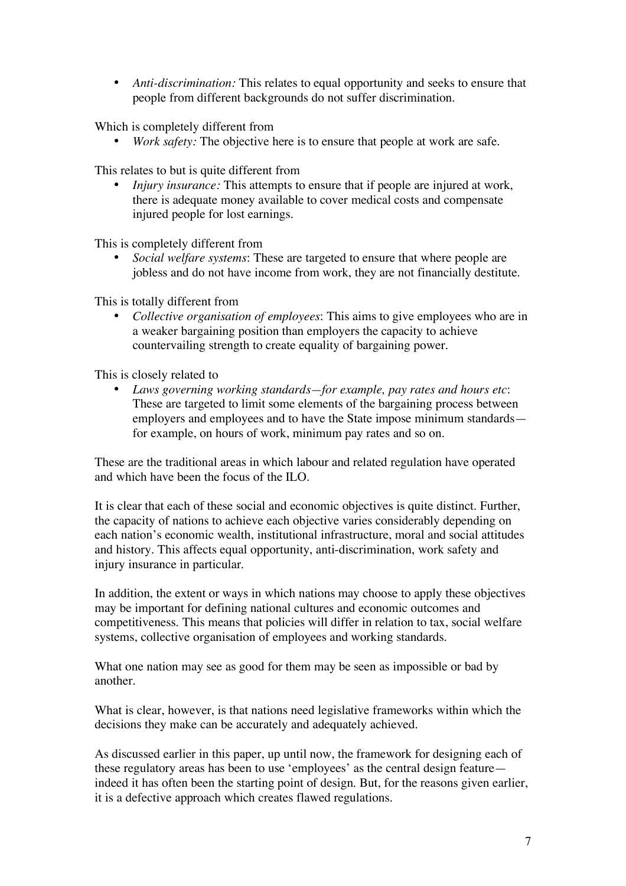• *Anti-discrimination:* This relates to equal opportunity and seeks to ensure that people from different backgrounds do not suffer discrimination.

Which is completely different from

*Work safety:* The objective here is to ensure that people at work are safe.

This relates to but is quite different from

• *Injury insurance:* This attempts to ensure that if people are injured at work, there is adequate money available to cover medical costs and compensate injured people for lost earnings.

This is completely different from

• *Social welfare systems*: These are targeted to ensure that where people are jobless and do not have income from work, they are not financially destitute.

This is totally different from

• *Collective organisation of employees*: This aims to give employees who are in a weaker bargaining position than employers the capacity to achieve countervailing strength to create equality of bargaining power.

This is closely related to

• *Laws governing working standards—for example, pay rates and hours etc*: These are targeted to limit some elements of the bargaining process between employers and employees and to have the State impose minimum standards for example, on hours of work, minimum pay rates and so on.

These are the traditional areas in which labour and related regulation have operated and which have been the focus of the ILO.

It is clear that each of these social and economic objectives is quite distinct. Further, the capacity of nations to achieve each objective varies considerably depending on each nation's economic wealth, institutional infrastructure, moral and social attitudes and history. This affects equal opportunity, anti-discrimination, work safety and injury insurance in particular.

In addition, the extent or ways in which nations may choose to apply these objectives may be important for defining national cultures and economic outcomes and competitiveness. This means that policies will differ in relation to tax, social welfare systems, collective organisation of employees and working standards.

What one nation may see as good for them may be seen as impossible or bad by another.

What is clear, however, is that nations need legislative frameworks within which the decisions they make can be accurately and adequately achieved.

As discussed earlier in this paper, up until now, the framework for designing each of these regulatory areas has been to use 'employees' as the central design feature indeed it has often been the starting point of design. But, for the reasons given earlier, it is a defective approach which creates flawed regulations.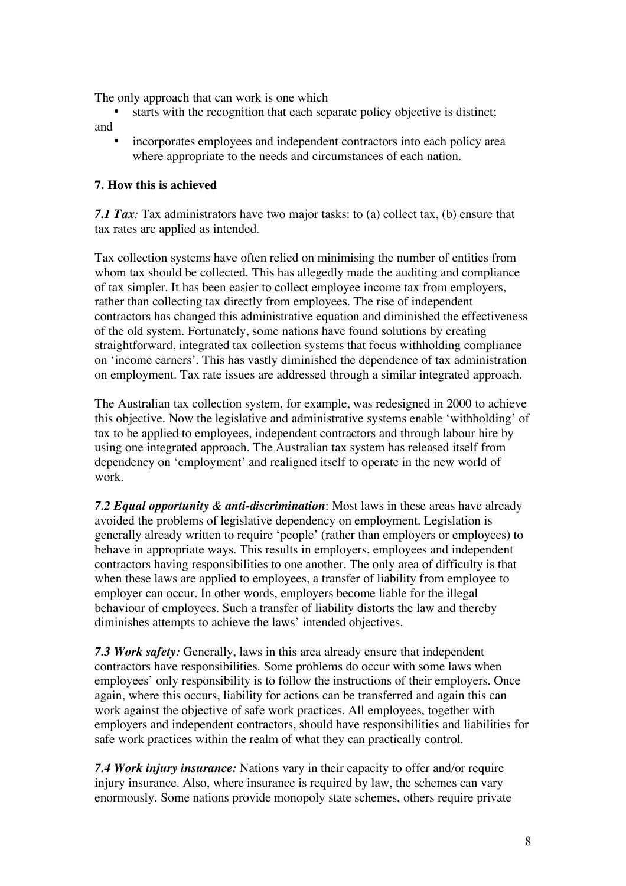The only approach that can work is one which

- starts with the recognition that each separate policy objective is distinct; and
	- incorporates employees and independent contractors into each policy area where appropriate to the needs and circumstances of each nation.

#### **7. How this is achieved**

*7.1 Tax:* Tax administrators have two major tasks: to (a) collect tax, (b) ensure that tax rates are applied as intended.

Tax collection systems have often relied on minimising the number of entities from whom tax should be collected. This has allegedly made the auditing and compliance of tax simpler. It has been easier to collect employee income tax from employers, rather than collecting tax directly from employees. The rise of independent contractors has changed this administrative equation and diminished the effectiveness of the old system. Fortunately, some nations have found solutions by creating straightforward, integrated tax collection systems that focus withholding compliance on 'income earners'. This has vastly diminished the dependence of tax administration on employment. Tax rate issues are addressed through a similar integrated approach.

The Australian tax collection system, for example, was redesigned in 2000 to achieve this objective. Now the legislative and administrative systems enable 'withholding' of tax to be applied to employees, independent contractors and through labour hire by using one integrated approach. The Australian tax system has released itself from dependency on 'employment' and realigned itself to operate in the new world of work.

*7.2 Equal opportunity & anti-discrimination*: Most laws in these areas have already avoided the problems of legislative dependency on employment. Legislation is generally already written to require 'people' (rather than employers or employees) to behave in appropriate ways. This results in employers, employees and independent contractors having responsibilities to one another. The only area of difficulty is that when these laws are applied to employees, a transfer of liability from employee to employer can occur. In other words, employers become liable for the illegal behaviour of employees. Such a transfer of liability distorts the law and thereby diminishes attempts to achieve the laws' intended objectives.

*7.3 Work safety:* Generally, laws in this area already ensure that independent contractors have responsibilities. Some problems do occur with some laws when employees' only responsibility is to follow the instructions of their employers. Once again, where this occurs, liability for actions can be transferred and again this can work against the objective of safe work practices. All employees, together with employers and independent contractors, should have responsibilities and liabilities for safe work practices within the realm of what they can practically control.

*7.4 Work injury insurance:* Nations vary in their capacity to offer and/or require injury insurance. Also, where insurance is required by law, the schemes can vary enormously. Some nations provide monopoly state schemes, others require private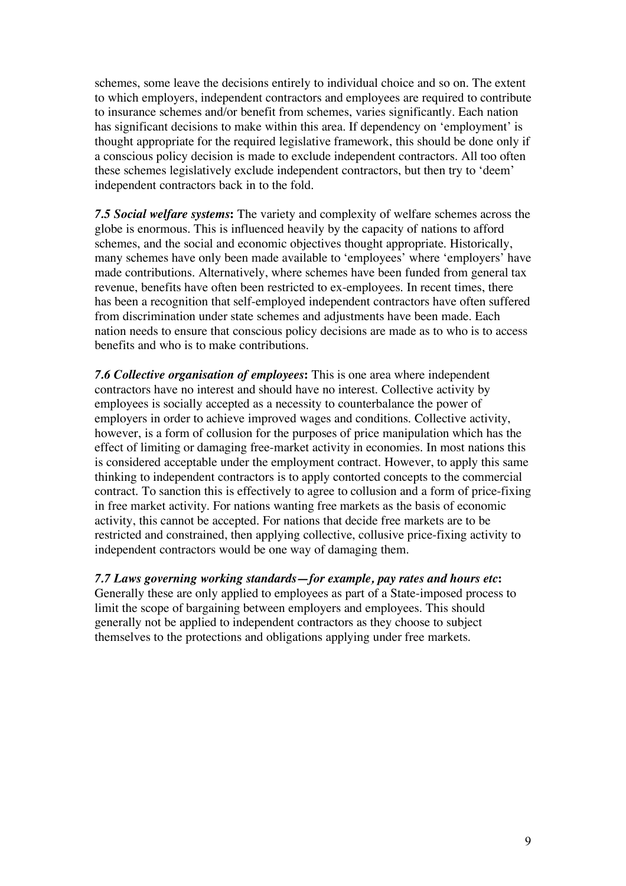schemes, some leave the decisions entirely to individual choice and so on. The extent to which employers, independent contractors and employees are required to contribute to insurance schemes and/or benefit from schemes, varies significantly. Each nation has significant decisions to make within this area. If dependency on 'employment' is thought appropriate for the required legislative framework, this should be done only if a conscious policy decision is made to exclude independent contractors. All too often these schemes legislatively exclude independent contractors, but then try to 'deem' independent contractors back in to the fold.

*7.5 Social welfare systems***:** The variety and complexity of welfare schemes across the globe is enormous. This is influenced heavily by the capacity of nations to afford schemes, and the social and economic objectives thought appropriate. Historically, many schemes have only been made available to 'employees' where 'employers' have made contributions. Alternatively, where schemes have been funded from general tax revenue, benefits have often been restricted to ex-employees. In recent times, there has been a recognition that self-employed independent contractors have often suffered from discrimination under state schemes and adjustments have been made. Each nation needs to ensure that conscious policy decisions are made as to who is to access benefits and who is to make contributions.

*7.6 Collective organisation of employees***:** This is one area where independent contractors have no interest and should have no interest. Collective activity by employees is socially accepted as a necessity to counterbalance the power of employers in order to achieve improved wages and conditions. Collective activity, however, is a form of collusion for the purposes of price manipulation which has the effect of limiting or damaging free-market activity in economies. In most nations this is considered acceptable under the employment contract. However, to apply this same thinking to independent contractors is to apply contorted concepts to the commercial contract. To sanction this is effectively to agree to collusion and a form of price-fixing in free market activity. For nations wanting free markets as the basis of economic activity, this cannot be accepted. For nations that decide free markets are to be restricted and constrained, then applying collective, collusive price-fixing activity to independent contractors would be one way of damaging them.

*7.7 Laws governing working standards—for example, pay rates and hours etc***:** Generally these are only applied to employees as part of a State-imposed process to limit the scope of bargaining between employers and employees. This should generally not be applied to independent contractors as they choose to subject themselves to the protections and obligations applying under free markets.